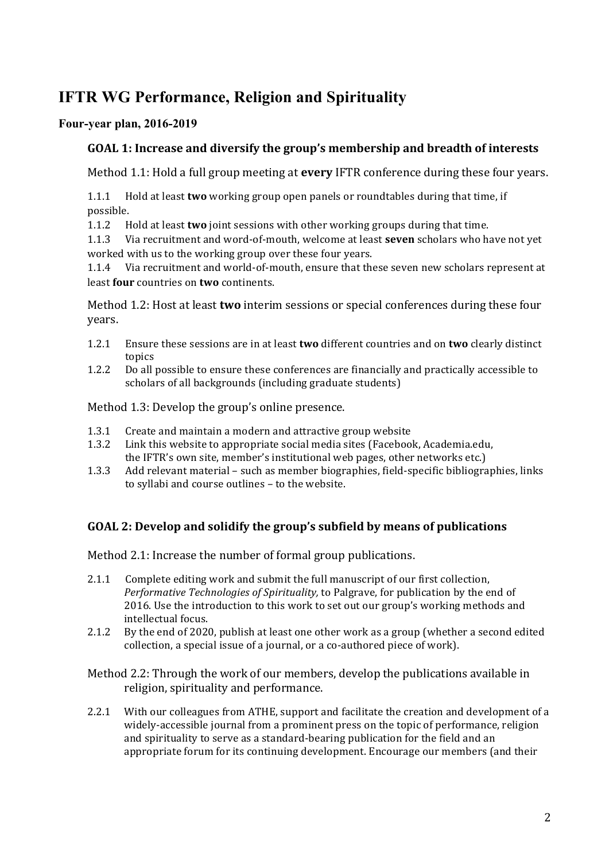# **IFTR WG Performance, Religion and Spirituality**

## **Four-year plan, 2016-2019**

## GOAL 1: Increase and diversify the group's membership and breadth of interests

Method 1.1: Hold a full group meeting at **every** IFTR conference during these four years.

1.1.1 Hold at least **two** working group open panels or roundtables during that time, if possible. 

1.1.2 Hold at least **two** joint sessions with other working groups during that time.

1.1.3 Via recruitment and word-of-mouth, welcome at least **seven** scholars who have not yet worked with us to the working group over these four years.

1.1.4 Via recruitment and world-of-mouth, ensure that these seven new scholars represent at least **four** countries on **two** continents.

Method 1.2: Host at least **two** interim sessions or special conferences during these four years.

- 1.2.1 Ensure these sessions are in at least **two** different countries and on **two** clearly distinct topics
- 1.2.2 Do all possible to ensure these conferences are financially and practically accessible to scholars of all backgrounds (including graduate students)

Method 1.3: Develop the group's online presence.

- 1.3.1 Create and maintain a modern and attractive group website
- 1.3.2 Link this website to appropriate social media sites (Facebook, Academia.edu, the IFTR's own site, member's institutional web pages, other networks etc.)
- 1.3.3 Add relevant material such as member biographies, field-specific bibliographies, links to syllabi and course outlines - to the website.

#### GOAL 2: Develop and solidify the group's subfield by means of publications

Method 2.1: Increase the number of formal group publications.

- 2.1.1 Complete editing work and submit the full manuscript of our first collection, *Performative Technologies of Spirituality,* to Palgrave, for publication by the end of 2016. Use the introduction to this work to set out our group's working methods and intellectual focus.
- 2.1.2 By the end of 2020, publish at least one other work as a group (whether a second edited collection, a special issue of a journal, or a co-authored piece of work).

Method 2.2: Through the work of our members, develop the publications available in religion, spirituality and performance.

2.2.1 With our colleagues from ATHE, support and facilitate the creation and development of a widely-accessible journal from a prominent press on the topic of performance, religion and spirituality to serve as a standard-bearing publication for the field and an appropriate forum for its continuing development. Encourage our members (and their